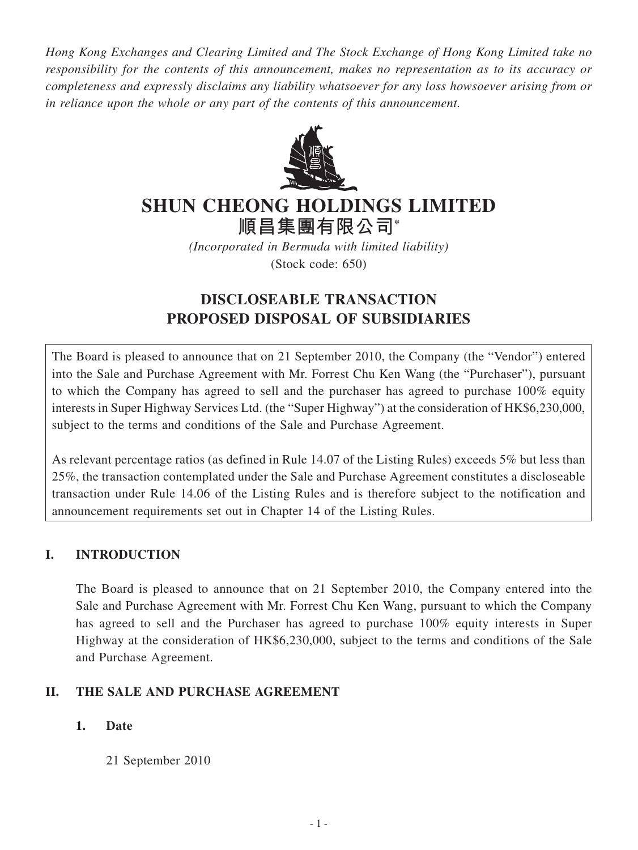*Hong Kong Exchanges and Clearing Limited and The Stock Exchange of Hong Kong Limited take no responsibility for the contents of this announcement, makes no representation as to its accuracy or completeness and expressly disclaims any liability whatsoever for any loss howsoever arising from or in reliance upon the whole or any part of the contents of this announcement.*



# **ShUN ChEONg hOLDINgS LImITED**

**順昌集團有限公司\***

*(Incorporated in Bermuda with limited liability)* (Stock code: 650)

# **DISCLOSEABLE TRANSACTION PROPOSED DISPOSAL OF SUBSIDIARIES**

The Board is pleased to announce that on 21 September 2010, the Company (the "Vendor") entered into the Sale and Purchase Agreement with Mr. Forrest Chu Ken Wang (the "Purchaser"), pursuant to which the Company has agreed to sell and the purchaser has agreed to purchase 100% equity interests in Super Highway Services Ltd. (the "Super Highway") at the consideration of HK\$6,230,000, subject to the terms and conditions of the Sale and Purchase Agreement.

As relevant percentage ratios (as defined in Rule 14.07 of the Listing Rules) exceeds 5% but less than 25%, the transaction contemplated under the Sale and Purchase Agreement constitutes a discloseable transaction under Rule 14.06 of the Listing Rules and is therefore subject to the notification and announcement requirements set out in Chapter 14 of the Listing Rules.

# **I. Introduction**

The Board is pleased to announce that on 21 September 2010, the Company entered into the Sale and Purchase Agreement with Mr. Forrest Chu Ken Wang, pursuant to which the Company has agreed to sell and the Purchaser has agreed to purchase 100% equity interests in Super Highway at the consideration of HK\$6,230,000, subject to the terms and conditions of the Sale and Purchase Agreement.

# **II. The Sale and Purchase Agreement**

# **1. Date**

21 September 2010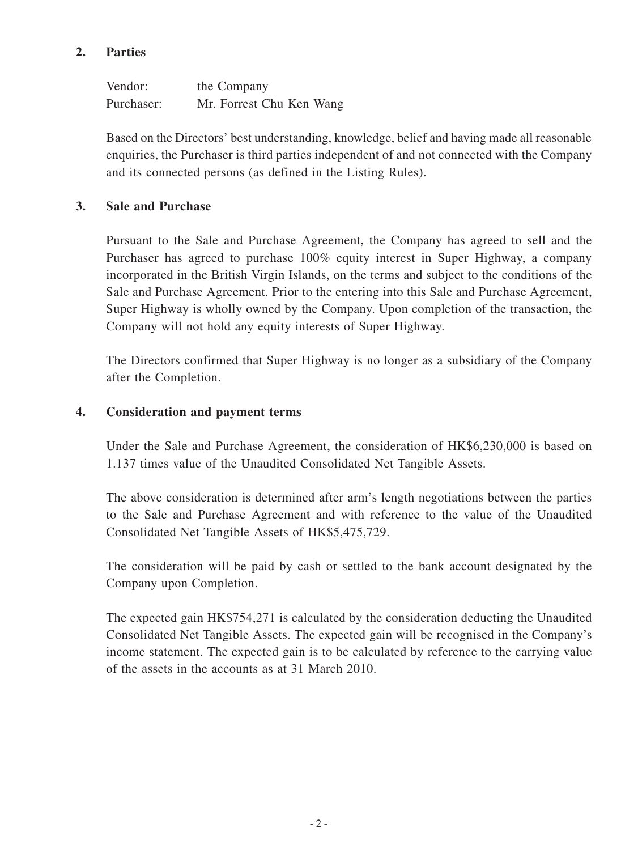## **2. Parties**

Vendor: the Company Purchaser: Mr. Forrest Chu Ken Wang

Based on the Directors' best understanding, knowledge, belief and having made all reasonable enquiries, the Purchaser is third parties independent of and not connected with the Company and its connected persons (as defined in the Listing Rules).

#### **3. Sale and Purchase**

Pursuant to the Sale and Purchase Agreement, the Company has agreed to sell and the Purchaser has agreed to purchase 100% equity interest in Super Highway, a company incorporated in the British Virgin Islands, on the terms and subject to the conditions of the Sale and Purchase Agreement. Prior to the entering into this Sale and Purchase Agreement, Super Highway is wholly owned by the Company. Upon completion of the transaction, the Company will not hold any equity interests of Super Highway.

The Directors confirmed that Super Highway is no longer as a subsidiary of the Company after the Completion.

#### **4. Consideration and payment terms**

Under the Sale and Purchase Agreement, the consideration of HK\$6,230,000 is based on 1.137 times value of the Unaudited Consolidated Net Tangible Assets.

The above consideration is determined after arm's length negotiations between the parties to the Sale and Purchase Agreement and with reference to the value of the Unaudited Consolidated Net Tangible Assets of HK\$5,475,729.

The consideration will be paid by cash or settled to the bank account designated by the Company upon Completion.

The expected gain HK\$754,271 is calculated by the consideration deducting the Unaudited Consolidated Net Tangible Assets. The expected gain will be recognised in the Company's income statement. The expected gain is to be calculated by reference to the carrying value of the assets in the accounts as at 31 March 2010.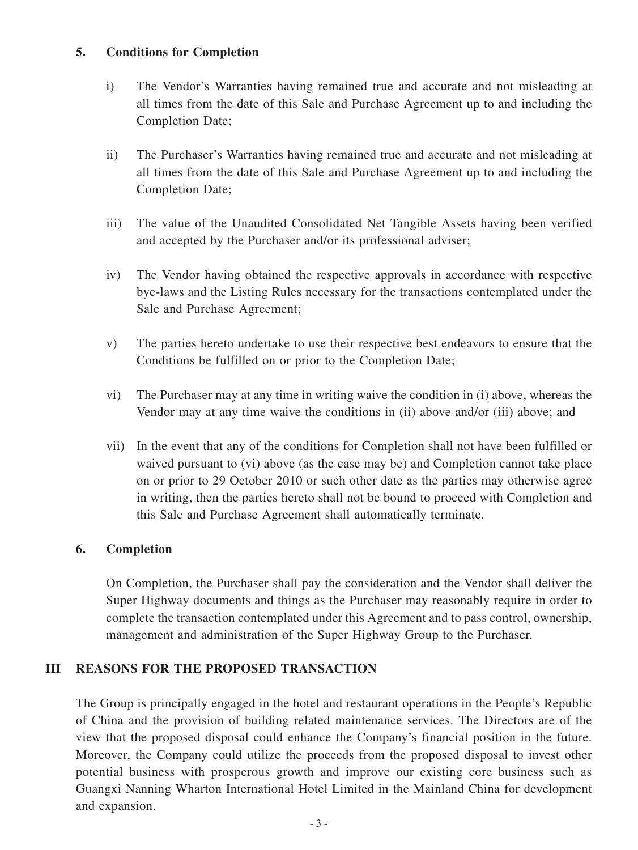#### **5. Conditions for Completion**

- i) The Vendor's Warranties having remained true and accurate and not misleading at all times from the date of this Sale and Purchase Agreement up to and including the Completion Date;
- ii) The Purchaser's Warranties having remained true and accurate and not misleading at all times from the date of this Sale and Purchase Agreement up to and including the Completion Date;
- iii) The value of the Unaudited Consolidated Net Tangible Assets having been verified and accepted by the Purchaser and/or its professional adviser;
- iv) The Vendor having obtained the respective approvals in accordance with respective bye-laws and the Listing Rules necessary for the transactions contemplated under the Sale and Purchase Agreement;
- v) The parties hereto undertake to use their respective best endeavors to ensure that the Conditions be fulfilled on or prior to the Completion Date;
- vi) The Purchaser may at any time in writing waive the condition in (i) above, whereas the Vendor may at any time waive the conditions in (ii) above and/or (iii) above; and
- vii) In the event that any of the conditions for Completion shall not have been fulfilled or waived pursuant to (vi) above (as the case may be) and Completion cannot take place on or prior to 29 October 2010 or such other date as the parties may otherwise agree in writing, then the parties hereto shall not be bound to proceed with Completion and this Sale and Purchase Agreement shall automatically terminate.

#### **6. Completion**

On Completion, the Purchaser shall pay the consideration and the Vendor shall deliver the Super Highway documents and things as the Purchaser may reasonably require in order to complete the transaction contemplated under this Agreement and to pass control, ownership, management and administration of the Super Highway Group to the Purchaser.

#### **III Reasons for the proposed transaction**

The Group is principally engaged in the hotel and restaurant operations in the People's Republic of China and the provision of building related maintenance services. The Directors are of the view that the proposed disposal could enhance the Company's financial position in the future. Moreover, the Company could utilize the proceeds from the proposed disposal to invest other potential business with prosperous growth and improve our existing core business such as Guangxi Nanning Wharton International Hotel Limited in the Mainland China for development and expansion.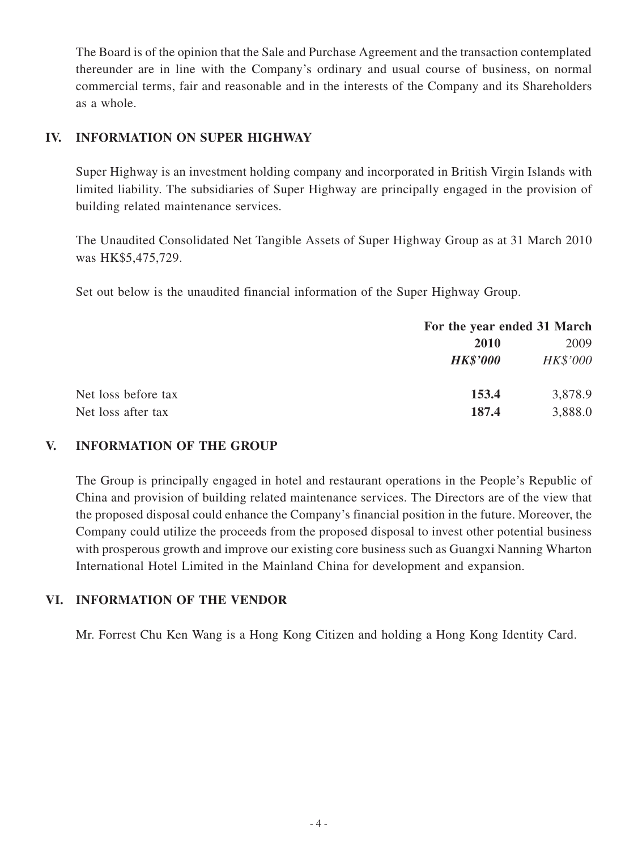The Board is of the opinion that the Sale and Purchase Agreement and the transaction contemplated thereunder are in line with the Company's ordinary and usual course of business, on normal commercial terms, fair and reasonable and in the interests of the Company and its Shareholders as a whole.

## **IV. Information on Super Highway**

Super Highway is an investment holding company and incorporated in British Virgin Islands with limited liability. The subsidiaries of Super Highway are principally engaged in the provision of building related maintenance services.

The Unaudited Consolidated Net Tangible Assets of Super Highway Group as at 31 March 2010 was HK\$5,475,729.

Set out below is the unaudited financial information of the Super Highway Group.

|                     |                 | For the year ended 31 March |  |
|---------------------|-----------------|-----------------------------|--|
|                     | <b>2010</b>     | 2009                        |  |
|                     | <b>HK\$'000</b> | <b>HK\$'000</b>             |  |
| Net loss before tax | 153.4           | 3,878.9                     |  |
| Net loss after tax  | 187.4           | 3,888.0                     |  |

#### **V. Information of the Group**

The Group is principally engaged in hotel and restaurant operations in the People's Republic of China and provision of building related maintenance services. The Directors are of the view that the proposed disposal could enhance the Company's financial position in the future. Moreover, the Company could utilize the proceeds from the proposed disposal to invest other potential business with prosperous growth and improve our existing core business such as Guangxi Nanning Wharton International Hotel Limited in the Mainland China for development and expansion.

#### **VI. Information of the Vendor**

Mr. Forrest Chu Ken Wang is a Hong Kong Citizen and holding a Hong Kong Identity Card.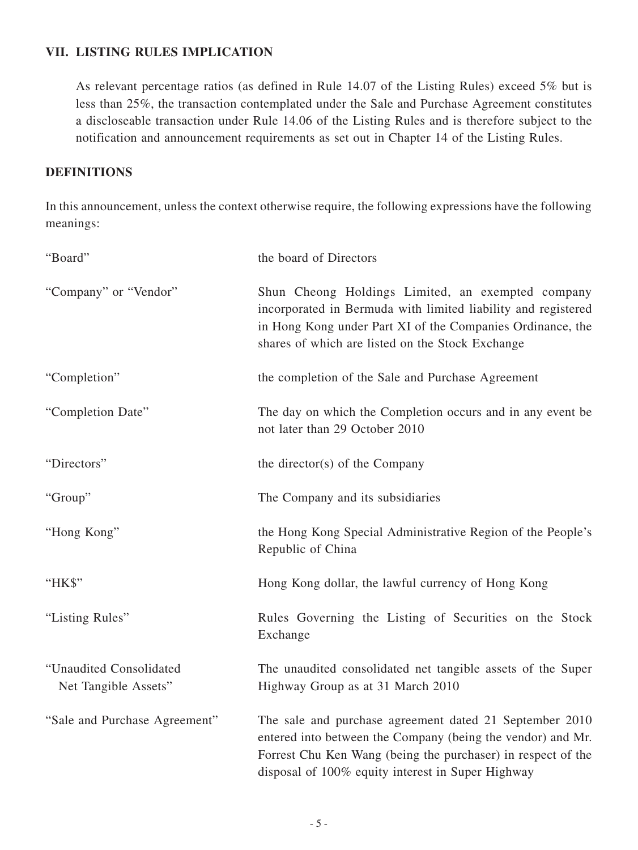#### **VII. Listing Rules Implication**

As relevant percentage ratios (as defined in Rule 14.07 of the Listing Rules) exceed 5% but is less than 25%, the transaction contemplated under the Sale and Purchase Agreement constitutes a discloseable transaction under Rule 14.06 of the Listing Rules and is therefore subject to the notification and announcement requirements as set out in Chapter 14 of the Listing Rules.

#### **DEFINITIONS**

In this announcement, unless the context otherwise require, the following expressions have the following meanings:

| "Board"                                         | the board of Directors                                                                                                                                                                                                                      |
|-------------------------------------------------|---------------------------------------------------------------------------------------------------------------------------------------------------------------------------------------------------------------------------------------------|
| "Company" or "Vendor"                           | Shun Cheong Holdings Limited, an exempted company<br>incorporated in Bermuda with limited liability and registered<br>in Hong Kong under Part XI of the Companies Ordinance, the<br>shares of which are listed on the Stock Exchange        |
| "Completion"                                    | the completion of the Sale and Purchase Agreement                                                                                                                                                                                           |
| "Completion Date"                               | The day on which the Completion occurs and in any event be<br>not later than 29 October 2010                                                                                                                                                |
| "Directors"                                     | the director(s) of the Company                                                                                                                                                                                                              |
| "Group"                                         | The Company and its subsidiaries                                                                                                                                                                                                            |
| "Hong Kong"                                     | the Hong Kong Special Administrative Region of the People's<br>Republic of China                                                                                                                                                            |
| "HK\$"                                          | Hong Kong dollar, the lawful currency of Hong Kong                                                                                                                                                                                          |
| "Listing Rules"                                 | Rules Governing the Listing of Securities on the Stock<br>Exchange                                                                                                                                                                          |
| "Unaudited Consolidated<br>Net Tangible Assets" | The unaudited consolidated net tangible assets of the Super<br>Highway Group as at 31 March 2010                                                                                                                                            |
| "Sale and Purchase Agreement"                   | The sale and purchase agreement dated 21 September 2010<br>entered into between the Company (being the vendor) and Mr.<br>Forrest Chu Ken Wang (being the purchaser) in respect of the<br>disposal of 100% equity interest in Super Highway |